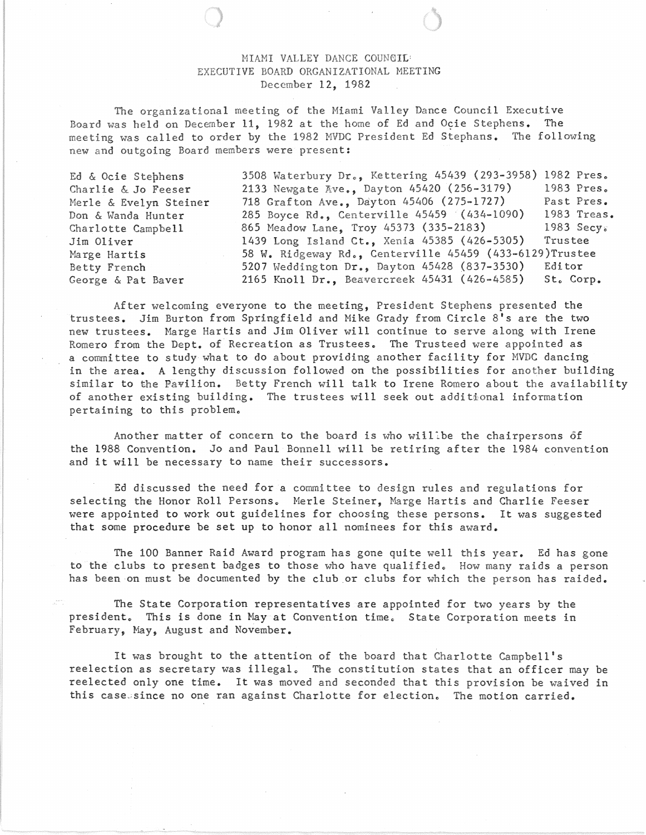## MIAMI VALLEY DANCE COUNCIL EXECUTIVE BOARD ORGANIZATIONAL MEETING December 12, 1982

The organizational meeting of the Miami Valley Dance Council Executive Board was held on December 11, 1982 at the home of Ed and Ocie Stephens. The meeting was called to order by the 1982 MVDC President Ed Stephans. The following new and outgoing Board members were present:

Ed & Ocie Stephens Charlie & Jo Feeser Merle & Evelyn Steiner Don & Wanda Hunter Charlotte Campbell Jim Oliver Marge Hartis Betty French George & Pat Baver 3508 Waterbury Dr., Kettering 45439 (293-3958) 1982 Pres. 2133 Newgate Ave., Dayton 45420 (256-3179) 1983 Pres. 718 Grafton Ave., Dayton 45406 (275-1727) Past Pres.<br>285 Bovce Rd.. Centerville 45459 (434-1090) 1983 Treas. 285 Boyce Rd., Centerville 45459 (434-1090) 865 Meadow Lane, Troy 45373 (335-2183) 1983 Secy 1439 Long Island Ct., Xenia 45385 (426-5305) Trustee 58 W. Ridgeway Rd., Centerville 45459 (433-6129)Trustee 5207 Weddington Dr., Dayton 45428 (837-3530) Editor 2165 Knoll Dr., Beavercreek 45431 (426-4585) St. Corp.

After welcoming everyone to the meeting, President Stephens presented the trustees. Jim Burton from Springfield and Mike Grady from Circle 8's are the two new trustees. Marge Hartis and Jim Oliver will continue to serve along with Irene Romero from the Dept. of Recreation as Trustees. The Trusteed were appointed as a committee to study what to do about providing another facility for MVDC dancing in the area. A lengthy discussion followed on the possibilities for another building similar to the Pavilion. Betty French will talk to Irene Romero about the availability of another existing building. The trustees will seek out additional information pertaining to this problem.

Another matter of concern to the board is who willibe the chairpersons of the 1988 Convention. Jo and Paul Bonnell will be retiring after the 1984 convention and it will be necessary to name their successors.

Ed discussed the need for a committee to design rules and regulations for selecting the Honor Roll Persons. Merle Steiner, Marge Hartis and Charlie Feeser were appointed to work out guidelines for choosing these persons. It was suggested that some procedure be set up to honor all nominees for this award.

The 100 Banner Raid Award program has gone quite well this year. Ed has gone to the clubs to present badges to those who have qualified. How many raids a person has been on must be documented by the club.or clubs for which the person has raided.

The State Corporation representatives are appointed for two years by the president. This is done in Mayat Convention time. State Corporation meets in February, May, August and November.

It was brought to the attention of the board that Charlotte Campbell's reelection as secretary was illegal. The constitution states that an officer may be reelected only one time. It was moved and seconded that this provision be waived in this casesince no one ran against Charlotte for election. The motion carried.